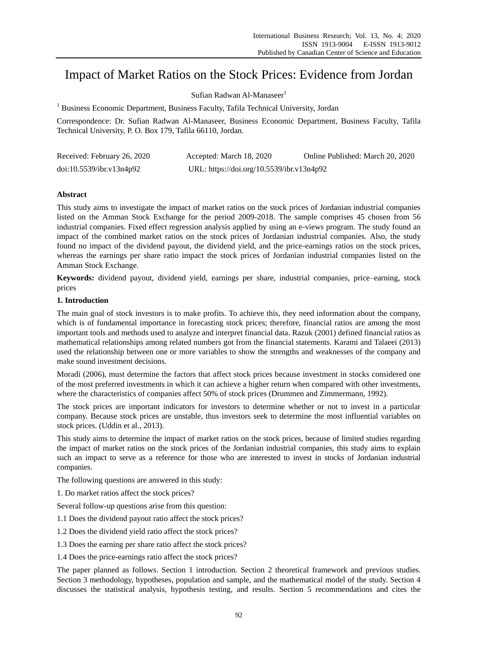# Impact of Market Ratios on the Stock Prices: Evidence from Jordan

Sufian Radwan Al-Manaseer<sup>1</sup>

<sup>1</sup> Business Economic Department, Business Faculty, Tafila Technical University, Jordan

Correspondence: Dr. Sufian Radwan Al-Manaseer, Business Economic Department, Business Faculty, Tafila Technical University, P. O. Box 179, Tafila 66110, Jordan.

| Received: February 26, 2020 | Accepted: March 18, 2020                  | Online Published: March 20, 2020 |
|-----------------------------|-------------------------------------------|----------------------------------|
| doi:10.5539/ibr.v13n4p92    | URL: https://doi.org/10.5539/ibr.v13n4p92 |                                  |

# **Abstract**

This study aims to investigate the impact of market ratios on the stock prices of Jordanian industrial companies listed on the Amman Stock Exchange for the period 2009-2018. The sample comprises 45 chosen from 56 industrial companies. Fixed effect regression analysis applied by using an e-views program. The study found an impact of the combined market ratios on the stock prices of Jordanian industrial companies. Also, the study found no impact of the dividend payout, the dividend yield, and the price-earnings ratios on the stock prices, whereas the earnings per share ratio impact the stock prices of Jordanian industrial companies listed on the Amman Stock Exchange.

**Keywords:** dividend payout, dividend yield, earnings per share, industrial companies, price–earning, stock prices

# **1. Introduction**

The main goal of stock investors is to make profits. To achieve this, they need information about the company, which is of fundamental importance in forecasting stock prices; therefore, financial ratios are among the most important tools and methods used to analyze and interpret financial data. Razuk (2001) defined financial ratios as mathematical relationships among related numbers got from the financial statements. Karami and Talaeei (2013) used the relationship between one or more variables to show the strengths and weaknesses of the company and make sound investment decisions.

Moradi (2006), must determine the factors that affect stock prices because investment in stocks considered one of the most preferred investments in which it can achieve a higher return when compared with other investments, where the characteristics of companies affect 50% of stock prices (Drummen and Zimmermann, 1992).

The stock prices are important indicators for investors to determine whether or not to invest in a particular company. Because stock prices are unstable, thus investors seek to determine the most influential variables on stock prices. (Uddin et al., 2013).

This study aims to determine the impact of market ratios on the stock prices, because of limited studies regarding the impact of market ratios on the stock prices of the Jordanian industrial companies, this study aims to explain such an impact to serve as a reference for those who are interested to invest in stocks of Jordanian industrial companies.

The following questions are answered in this study:

1. Do market ratios affect the stock prices?

Several follow-up questions arise from this question:

1.1 Does the dividend payout ratio affect the stock prices?

1.2 Does the dividend yield ratio affect the stock prices?

1.3 Does the earning per share ratio affect the stock prices?

1.4 Does the price-earnings ratio affect the stock prices?

The paper planned as follows. Section 1 introduction. Section 2 theoretical framework and previous studies. Section 3 methodology, hypotheses, population and sample, and the mathematical model of the study. Section 4 discusses the statistical analysis, hypothesis testing, and results. Section 5 recommendations and cites the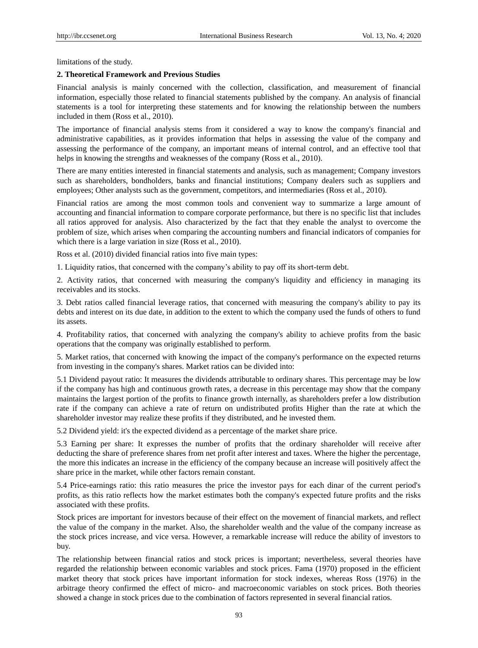limitations of the study.

#### **2. Theoretical Framework and Previous Studies**

Financial analysis is mainly concerned with the collection, classification, and measurement of financial information, especially those related to financial statements published by the company. An analysis of financial statements is a tool for interpreting these statements and for knowing the relationship between the numbers included in them (Ross et al., 2010).

The importance of financial analysis stems from it considered a way to know the company's financial and administrative capabilities, as it provides information that helps in assessing the value of the company and assessing the performance of the company, an important means of internal control, and an effective tool that helps in knowing the strengths and weaknesses of the company (Ross et al., 2010).

There are many entities interested in financial statements and analysis, such as management; Company investors such as shareholders, bondholders, banks and financial institutions; Company dealers such as suppliers and employees; Other analysts such as the government, competitors, and intermediaries (Ross et al., 2010).

Financial ratios are among the most common tools and convenient way to summarize a large amount of accounting and financial information to compare corporate performance, but there is no specific list that includes all ratios approved for analysis. Also characterized by the fact that they enable the analyst to overcome the problem of size, which arises when comparing the accounting numbers and financial indicators of companies for which there is a large variation in size (Ross et al., 2010).

Ross et al. (2010) divided financial ratios into five main types:

1. Liquidity ratios, that concerned with the company's ability to pay off its short-term debt.

2. Activity ratios, that concerned with measuring the company's liquidity and efficiency in managing its receivables and its stocks.

3. Debt ratios called financial leverage ratios, that concerned with measuring the company's ability to pay its debts and interest on its due date, in addition to the extent to which the company used the funds of others to fund its assets.

4. Profitability ratios, that concerned with analyzing the company's ability to achieve profits from the basic operations that the company was originally established to perform.

5. Market ratios, that concerned with knowing the impact of the company's performance on the expected returns from investing in the company's shares. Market ratios can be divided into:

5.1 Dividend payout ratio: It measures the dividends attributable to ordinary shares. This percentage may be low if the company has high and continuous growth rates, a decrease in this percentage may show that the company maintains the largest portion of the profits to finance growth internally, as shareholders prefer a low distribution rate if the company can achieve a rate of return on undistributed profits Higher than the rate at which the shareholder investor may realize these profits if they distributed, and he invested them.

5.2 Dividend yield: it's the expected dividend as a percentage of the market share price.

5.3 Earning per share: It expresses the number of profits that the ordinary shareholder will receive after deducting the share of preference shares from net profit after interest and taxes. Where the higher the percentage, the more this indicates an increase in the efficiency of the company because an increase will positively affect the share price in the market, while other factors remain constant.

5.4 Price-earnings ratio: this ratio measures the price the investor pays for each dinar of the current period's profits, as this ratio reflects how the market estimates both the company's expected future profits and the risks associated with these profits.

Stock prices are important for investors because of their effect on the movement of financial markets, and reflect the value of the company in the market. Also, the shareholder wealth and the value of the company increase as the stock prices increase, and vice versa. However, a remarkable increase will reduce the ability of investors to buy.

The relationship between financial ratios and stock prices is important; nevertheless, several theories have regarded the relationship between economic variables and stock prices. Fama (1970) proposed in the efficient market theory that stock prices have important information for stock indexes, whereas Ross (1976) in the arbitrage theory confirmed the effect of micro- and macroeconomic variables on stock prices. Both theories showed a change in stock prices due to the combination of factors represented in several financial ratios.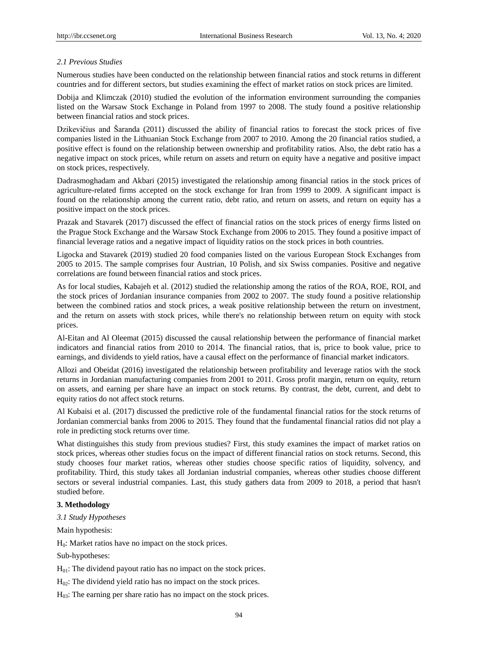# *2.1 Previous Studies*

Numerous studies have been conducted on the relationship between financial ratios and stock returns in different countries and for different sectors, but studies examining the effect of market ratios on stock prices are limited.

Dobija and Klimczak (2010) studied the evolution of the information environment surrounding the companies listed on the Warsaw Stock Exchange in Poland from 1997 to 2008. The study found a positive relationship between financial ratios and stock prices.

Dzikevičius and Šaranda (2011) discussed the ability of financial ratios to forecast the stock prices of five companies listed in the Lithuanian Stock Exchange from 2007 to 2010. Among the 20 financial ratios studied, a positive effect is found on the relationship between ownership and profitability ratios. Also, the debt ratio has a negative impact on stock prices, while return on assets and return on equity have a negative and positive impact on stock prices, respectively.

Dadrasmoghadam and Akbari (2015) investigated the relationship among financial ratios in the stock prices of agriculture-related firms accepted on the stock exchange for Iran from 1999 to 2009. A significant impact is found on the relationship among the current ratio, debt ratio, and return on assets, and return on equity has a positive impact on the stock prices.

Prazak and Stavarek (2017) discussed the effect of financial ratios on the stock prices of energy firms listed on the Prague Stock Exchange and the Warsaw Stock Exchange from 2006 to 2015. They found a positive impact of financial leverage ratios and a negative impact of liquidity ratios on the stock prices in both countries.

Ligocka and Stavarek (2019) studied 20 food companies listed on the various European Stock Exchanges from 2005 to 2015. The sample comprises four Austrian, 10 Polish, and six Swiss companies. Positive and negative correlations are found between financial ratios and stock prices.

As for local studies, Kabajeh et al. (2012) studied the relationship among the ratios of the ROA, ROE, ROI, and the stock prices of Jordanian insurance companies from 2002 to 2007. The study found a positive relationship between the combined ratios and stock prices, a weak positive relationship between the return on investment, and the return on assets with stock prices, while there's no relationship between return on equity with stock prices.

Al-Eitan and Al Oleemat (2015) discussed the causal relationship between the performance of financial market indicators and financial ratios from 2010 to 2014. The financial ratios, that is, price to book value, price to earnings, and dividends to yield ratios, have a causal effect on the performance of financial market indicators.

Allozi and Obeidat (2016) investigated the relationship between profitability and leverage ratios with the stock returns in Jordanian manufacturing companies from 2001 to 2011. Gross profit margin, return on equity, return on assets, and earning per share have an impact on stock returns. By contrast, the debt, current, and debt to equity ratios do not affect stock returns.

Al Kubaisi et al. (2017) discussed the predictive role of the fundamental financial ratios for the stock returns of Jordanian commercial banks from 2006 to 2015. They found that the fundamental financial ratios did not play a role in predicting stock returns over time.

What distinguishes this study from previous studies? First, this study examines the impact of market ratios on stock prices, whereas other studies focus on the impact of different financial ratios on stock returns. Second, this study chooses four market ratios, whereas other studies choose specific ratios of liquidity, solvency, and profitability. Third, this study takes all Jordanian industrial companies, whereas other studies choose different sectors or several industrial companies. Last, this study gathers data from 2009 to 2018, a period that hasn't studied before.

## **3. Methodology**

*3.1 Study Hypotheses*

Main hypothesis:

 $H_0$ : Market ratios have no impact on the stock prices.

Sub-hypotheses:

 $H<sub>01</sub>$ : The dividend payout ratio has no impact on the stock prices.

 $H_{02}$ : The dividend yield ratio has no impact on the stock prices.

 $H<sub>03</sub>$ : The earning per share ratio has no impact on the stock prices.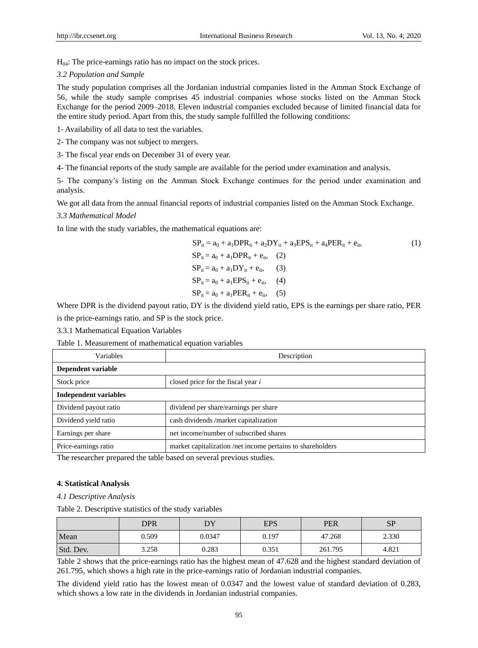$H<sub>04</sub>$ : The price-earnings ratio has no impact on the stock prices.

#### *3.2 Population and Sample*

The study population comprises all the Jordanian industrial companies listed in the Amman Stock Exchange of 56, while the study sample comprises 45 industrial companies whose stocks listed on the Amman Stock Exchange for the period 2009–2018. Eleven industrial companies excluded because of limited financial data for the entire study period. Apart from this, the study sample fulfilled the following conditions:

1- Availability of all data to test the variables.

2- The company was not subject to mergers.

3- The fiscal year ends on December 31 of every year.

4- The financial reports of the study sample are available for the period under examination and analysis.

5- The company's listing on the Amman Stock Exchange continues for the period under examination and analysis.

We got all data from the annual financial reports of industrial companies listed on the Amman Stock Exchange.

#### *3.3 Mathematical Model*

In line with the study variables, the mathematical equations are:

$$
SP_{it} = a_0 + a_1 DPR_{it} + a_2 DY_{it} + a_3 EPS_{it} + a_4 PER_{it} + e_{it},
$$
  
\n
$$
SP_{it} = a_0 + a_1 DPR_{it} + e_{it},
$$
  
\n
$$
SP_{it} = a_0 + a_1 DY_{it} + e_{it},
$$
  
\n
$$
SP_{it} = a_0 + a_1 EPS_{it} + e_{it},
$$
  
\n
$$
SP_{it} = a_0 + a_1 PER_{it} + e_{it},
$$
  
\n(5)

Where DPR is the dividend payout ratio, DY is the dividend yield ratio, EPS is the earnings per share ratio, PER is the price-earnings ratio, and SP is the stock price.

3.3.1 Mathematical Equation Variables

Table 1. Measurement of mathematical equation variables

| <b>Variables</b>             | Description                                                |  |  |
|------------------------------|------------------------------------------------------------|--|--|
| Dependent variable           |                                                            |  |  |
| Stock price                  | closed price for the fiscal year $i$                       |  |  |
| <b>Independent variables</b> |                                                            |  |  |
| Dividend payout ratio        | dividend per share/earnings per share                      |  |  |
| Dividend yield ratio         | cash dividends /market capitalization                      |  |  |
| Earnings per share           | net income/number of subscribed shares                     |  |  |
| Price-earnings ratio         | market capitalization /net income pertains to shareholders |  |  |

The researcher prepared the table based on several previous studies.

## **4. Statistical Analysis**

*4.1 Descriptive Analysis*

Table 2. Descriptive statistics of the study variables

|           | <b>DPR</b> |        | <b>EPS</b> | <b>PER</b> | <b>SP</b> |
|-----------|------------|--------|------------|------------|-----------|
| Mean      | 0.509      | 0.0347 | 0.197      | 47.268     | 2.330     |
| Std. Dev. | 3.258      | 0.283  | 0.351      | 261.795    | 4.821     |

Table 2 shows that the price-earnings ratio has the highest mean of 47.628 and the highest standard deviation of 261.795, which shows a high rate in the price-earnings ratio of Jordanian industrial companies.

The dividend yield ratio has the lowest mean of 0.0347 and the lowest value of standard deviation of 0.283, which shows a low rate in the dividends in Jordanian industrial companies.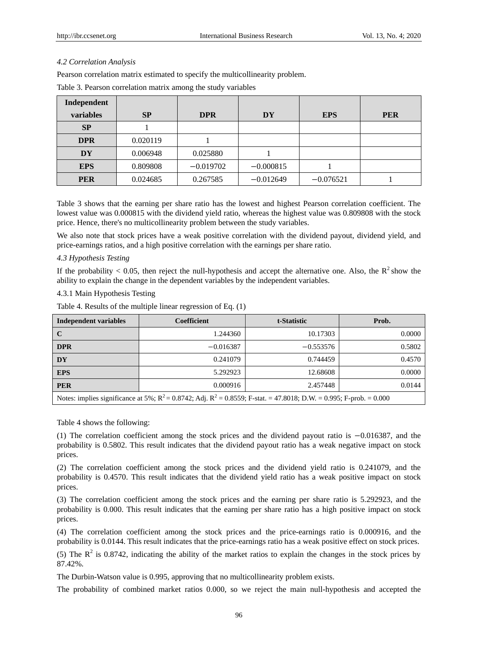# *4.2 Correlation Analysis*

Pearson correlation matrix estimated to specify the multicollinearity problem.

| Independent |           |             |             |             |            |
|-------------|-----------|-------------|-------------|-------------|------------|
| variables   | <b>SP</b> | <b>DPR</b>  | DY          | <b>EPS</b>  | <b>PER</b> |
| <b>SP</b>   |           |             |             |             |            |
| <b>DPR</b>  | 0.020119  |             |             |             |            |
| <b>DY</b>   | 0.006948  | 0.025880    |             |             |            |
| <b>EPS</b>  | 0.809808  | $-0.019702$ | $-0.000815$ |             |            |
| <b>PER</b>  | 0.024685  | 0.267585    | $-0.012649$ | $-0.076521$ |            |

Table 3. Pearson correlation matrix among the study variables

Table 3 shows that the earning per share ratio has the lowest and highest Pearson correlation coefficient. The lowest value was 0.000815 with the dividend yield ratio, whereas the highest value was 0.809808 with the stock price. Hence, there's no multicollinearity problem between the study variables.

We also note that stock prices have a weak positive correlation with the dividend payout, dividend yield, and price-earnings ratios, and a high positive correlation with the earnings per share ratio.

## *4.3 Hypothesis Testing*

If the probability < 0.05, then reject the null-hypothesis and accept the alternative one. Also, the  $R^2$ show the ability to explain the change in the dependent variables by the independent variables.

## 4.3.1 Main Hypothesis Testing

Table 4. Results of the multiple linear regression of Eq. (1)

| <b>Independent variables</b>                                                                                               | Coefficient | t-Statistic | Prob.  |  |
|----------------------------------------------------------------------------------------------------------------------------|-------------|-------------|--------|--|
| C                                                                                                                          | 1.244360    | 10.17303    | 0.0000 |  |
| <b>DPR</b>                                                                                                                 | $-0.016387$ | $-0.553576$ | 0.5802 |  |
| <b>DY</b>                                                                                                                  | 0.241079    | 0.744459    | 0.4570 |  |
| <b>EPS</b>                                                                                                                 | 5.292923    | 12.68608    | 0.0000 |  |
| <b>PER</b>                                                                                                                 | 0.000916    | 2.457448    | 0.0144 |  |
| Notes: implies significance at 5%; $R^2 = 0.8742$ ; Adj. $R^2 = 0.8559$ ; F-stat. = 47.8018; D.W. = 0.995; F-prob. = 0.000 |             |             |        |  |

Table 4 shows the following:

(1) The correlation coefficient among the stock prices and the dividend payout ratio is −0.016387, and the probability is 0.5802. This result indicates that the dividend payout ratio has a weak negative impact on stock prices.

(2) The correlation coefficient among the stock prices and the dividend yield ratio is 0.241079, and the probability is 0.4570. This result indicates that the dividend yield ratio has a weak positive impact on stock prices.

(3) The correlation coefficient among the stock prices and the earning per share ratio is 5.292923, and the probability is 0.000. This result indicates that the earning per share ratio has a high positive impact on stock prices.

(4) The correlation coefficient among the stock prices and the price-earnings ratio is 0.000916, and the probability is 0.0144. This result indicates that the price-earnings ratio has a weak positive effect on stock prices.

(5) The  $\mathbb{R}^2$  is 0.8742, indicating the ability of the market ratios to explain the changes in the stock prices by 87.42%.

The Durbin-Watson value is 0.995, approving that no multicollinearity problem exists.

The probability of combined market ratios 0.000, so we reject the main null-hypothesis and accepted the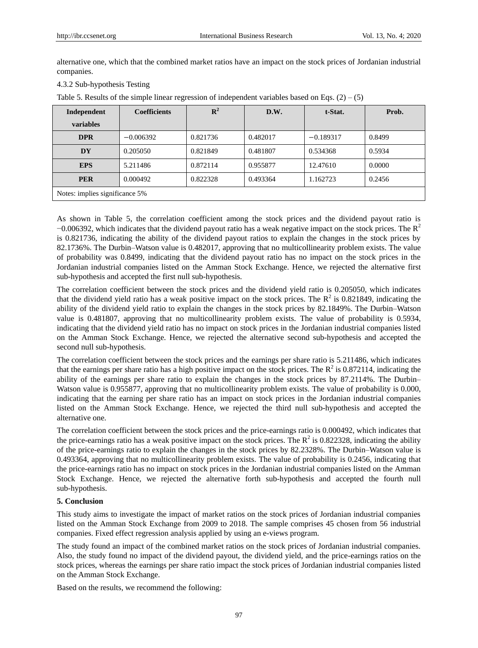alternative one, which that the combined market ratios have an impact on the stock prices of Jordanian industrial companies.

## 4.3.2 Sub-hypothesis Testing

Table 5. Results of the simple linear regression of independent variables based on Eqs.  $(2) - (5)$ 

| Independent                    | <b>Coefficients</b> | ${\bf R}^2$ | D.W.     | t-Stat.     | Prob.  |
|--------------------------------|---------------------|-------------|----------|-------------|--------|
| variables                      |                     |             |          |             |        |
| <b>DPR</b>                     | $-0.006392$         | 0.821736    | 0.482017 | $-0.189317$ | 0.8499 |
| DY                             | 0.205050            | 0.821849    | 0.481807 | 0.534368    | 0.5934 |
| <b>EPS</b>                     | 5.211486            | 0.872114    | 0.955877 | 12.47610    | 0.0000 |
| <b>PER</b>                     | 0.000492            | 0.822328    | 0.493364 | 1.162723    | 0.2456 |
| Notes: implies significance 5% |                     |             |          |             |        |

As shown in Table 5, the correlation coefficient among the stock prices and the dividend payout ratio is  $-0.006392$ , which indicates that the dividend payout ratio has a weak negative impact on the stock prices. The R<sup>2</sup> is 0.821736, indicating the ability of the dividend payout ratios to explain the changes in the stock prices by 82.1736%. The Durbin–Watson value is 0.482017, approving that no multicollinearity problem exists. The value of probability was 0.8499, indicating that the dividend payout ratio has no impact on the stock prices in the Jordanian industrial companies listed on the Amman Stock Exchange. Hence, we rejected the alternative first sub-hypothesis and accepted the first null sub-hypothesis.

The correlation coefficient between the stock prices and the dividend yield ratio is 0.205050, which indicates that the dividend yield ratio has a weak positive impact on the stock prices. The  $R^2$  is 0.821849, indicating the ability of the dividend yield ratio to explain the changes in the stock prices by 82.1849%. The Durbin–Watson value is 0.481807, approving that no multicollinearity problem exists. The value of probability is 0.5934, indicating that the dividend yield ratio has no impact on stock prices in the Jordanian industrial companies listed on the Amman Stock Exchange. Hence, we rejected the alternative second sub-hypothesis and accepted the second null sub-hypothesis.

The correlation coefficient between the stock prices and the earnings per share ratio is 5.211486, which indicates that the earnings per share ratio has a high positive impact on the stock prices. The  $R^2$  is 0.872114, indicating the ability of the earnings per share ratio to explain the changes in the stock prices by 87.2114%. The Durbin– Watson value is 0.955877, approving that no multicollinearity problem exists. The value of probability is 0.000, indicating that the earning per share ratio has an impact on stock prices in the Jordanian industrial companies listed on the Amman Stock Exchange. Hence, we rejected the third null sub-hypothesis and accepted the alternative one.

The correlation coefficient between the stock prices and the price-earnings ratio is 0.000492, which indicates that the price-earnings ratio has a weak positive impact on the stock prices. The  $R^2$  is 0.822328, indicating the ability of the price-earnings ratio to explain the changes in the stock prices by 82.2328%. The Durbin–Watson value is 0.493364, approving that no multicollinearity problem exists. The value of probability is 0.2456, indicating that the price-earnings ratio has no impact on stock prices in the Jordanian industrial companies listed on the Amman Stock Exchange. Hence, we rejected the alternative forth sub-hypothesis and accepted the fourth null sub-hypothesis.

# **5. Conclusion**

This study aims to investigate the impact of market ratios on the stock prices of Jordanian industrial companies listed on the Amman Stock Exchange from 2009 to 2018. The sample comprises 45 chosen from 56 industrial companies. Fixed effect regression analysis applied by using an e-views program.

The study found an impact of the combined market ratios on the stock prices of Jordanian industrial companies. Also, the study found no impact of the dividend payout, the dividend yield, and the price-earnings ratios on the stock prices, whereas the earnings per share ratio impact the stock prices of Jordanian industrial companies listed on the Amman Stock Exchange.

Based on the results, we recommend the following: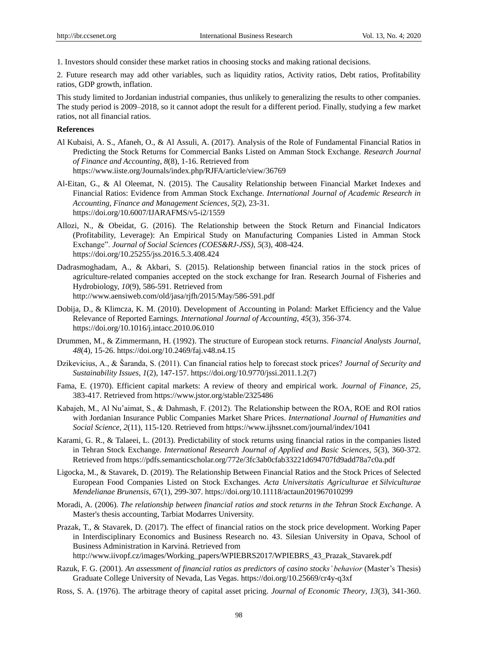1. Investors should consider these market ratios in choosing stocks and making rational decisions.

2. Future research may add other variables, such as liquidity ratios, Activity ratios, Debt ratios, Profitability ratios, GDP growth, inflation.

This study limited to Jordanian industrial companies, thus unlikely to generalizing the results to other companies. The study period is 2009–2018, so it cannot adopt the result for a different period. Finally, studying a few market ratios, not all financial ratios.

#### **References**

- Al Kubaisi, A. S., Afaneh, O., & Al Assuli, A. (2017). Analysis of the Role of Fundamental Financial Ratios in Predicting the Stock Returns for Commercial Banks Listed on Amman Stock Exchange*. Research Journal of Finance and Accounting*, *8*(8), 1-16. Retrieved from <https://www.iiste.org/Journals/index.php/RJFA/article/view/36769>
- Al-Eitan, G., & Al Oleemat, N. (2015). The Causality Relationship between Financial Market Indexes and Financial Ratios: Evidence from Amman Stock Exchange*. International Journal of Academic Research in Accounting, Finance and Management Sciences*, *5*(2), 23-31. https://doi.org/10.6007/IJARAFMS/v5-i2/1559
- Allozi, N., & Obeidat, G. (2016). The Relationship between the Stock Return and Financial Indicators (Profitability, Leverage): An Empirical Study on Manufacturing Companies Listed in Amman Stock Exchange". *Journal of Social Sciences (COES&RJ-JSS)*, *5*(3), 408-424. https://doi.org/10.25255/jss.2016.5.3.408.424
- Dadrasmoghadam, A., & Akbari, S. (2015). Relationship between financial ratios in the stock prices of agriculture-related companies accepted on the stock exchange for Iran. Research Journal of Fisheries and Hydrobiology, *10*(9), 586-591. Retrieved from <http://www.aensiweb.com/old/jasa/rjfh/2015/May/586-591.pdf>
- Dobija, D., & Klimcza, K. M. (2010). Development of Accounting in Poland: Market Efficiency and the Value Relevance of Reported Earnings*. International Journal of Accounting*, *45*(3), 356-374. https://doi.org/10.1016/j.intacc.2010.06.010
- Drummen, M., & Zimmermann, H. (1992). The structure of European stock returns. *Financial Analysts Journal*, *48*(4), 15-26.<https://doi.org/10.2469/faj.v48.n4.15>
- Dzikevicius, A., & Šaranda, S. (2011). Can financial ratios help to forecast stock prices? *Journal of Security and Sustainability Issues*, *1*(2), 147-157. [https://doi.org/10.9770/jssi.2011.1.2\(7\)](https://doi.org/10.9770/jssi.2011.1.2(7))
- Fama, E. (1970). Efficient capital markets: A review of theory and empirical work. *Journal of Finance*, *25,*  383-417. Retrieved from <https://www.jstor.org/stable/2325486>
- Kabajeh, M., Al Nu'aimat, S., & Dahmash, F. (2012). The Relationship between the ROA, ROE and ROI ratios with Jordanian Insurance Public Companies Market Share Prices. *International Journal of Humanities and Social Science*, *2*(11), 115-120. Retrieved from <https://www.ijhssnet.com/journal/index/1041>
- Karami, G. R., & Talaeei, L. (2013). Predictability of stock returns using financial ratios in the companies listed in Tehran Stock Exchange. *International Research Journal of Applied and Basic Sciences*, *5*(3), 360-372. Retrieved from <https://pdfs.semanticscholar.org/772e/3fc3ab0cfab33221d694707fd9add78a7c0a.pdf>
- Ligocka, M., & Stavarek, D. (2019). The Relationship Between Financial Ratios and the Stock Prices of Selected European Food Companies Listed on Stock Exchanges. *Acta Universitatis Agriculturae et Silviculturae Mendelianae Brunensis*, 67(1), 299-307[. https://doi.org/10.11118/actaun201967010299](https://doi.org/10.11118/actaun201967010299)
- Moradi, A. (2006). *The relationship between financial ratios and stock returns in the Tehran Stock Exchange.* A Master's thesis accounting, Tarbiat Modarres University.
- Prazak, T., & Stavarek, D. (2017). The effect of financial ratios on the stock price development. Working Paper in Interdisciplinary Economics and Business Research no. 43. Silesian University in Opava, School of Business Administration in Karviná. Retrieved from [http://www.iivopf.cz/images/Working\\_papers/WPIEBRS2017/WPIEBRS\\_43\\_Prazak\\_Stavarek.pdf](http://www.iivopf.cz/images/Working_papers/WPIEBRS2017/WPIEBRS_43_Prazak_Stavarek.pdf)
- Razuk, F. G. (2001). *An assessment of financial ratios as predictors of casino stocks' behavior* (Master's Thesis)
- Graduate College University of Nevada, Las Vegas.<https://doi.org/10.25669/cr4y-q3xf>
- Ross, S. A. (1976). The arbitrage theory of capital asset pricing. *Journal of Economic Theory, 13*(3), 341-360.